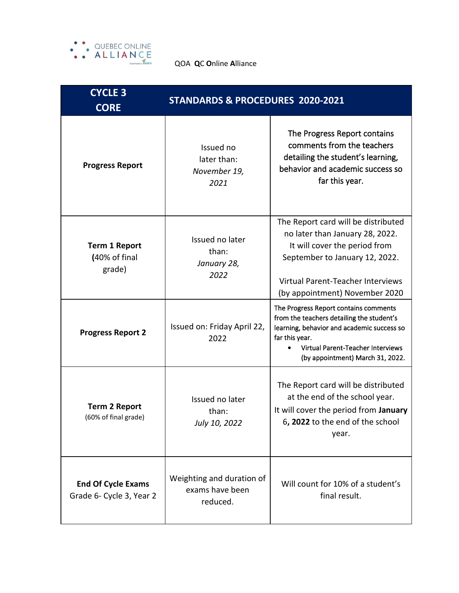

QOA **Q**C **O**nline **A**lliance

| <b>CYCLE 3</b><br><b>CORE</b>                         | <b>STANDARDS &amp; PROCEDURES 2020-2021</b>              |                                                                                                                                                                                                                             |  |
|-------------------------------------------------------|----------------------------------------------------------|-----------------------------------------------------------------------------------------------------------------------------------------------------------------------------------------------------------------------------|--|
| <b>Progress Report</b>                                | Issued no<br>later than:<br>November 19,<br>2021         | The Progress Report contains<br>comments from the teachers<br>detailing the student's learning,<br>behavior and academic success so<br>far this year.                                                                       |  |
| <b>Term 1 Report</b><br>(40% of final<br>grade)       | Issued no later<br>than:<br>January 28,<br>2022          | The Report card will be distributed<br>no later than January 28, 2022.<br>It will cover the period from<br>September to January 12, 2022.<br>Virtual Parent-Teacher Interviews<br>(by appointment) November 2020            |  |
| <b>Progress Report 2</b>                              | Issued on: Friday April 22,<br>2022                      | The Progress Report contains comments<br>from the teachers detailing the student's<br>learning, behavior and academic success so<br>far this year.<br>Virtual Parent-Teacher Interviews<br>(by appointment) March 31, 2022. |  |
| <b>Term 2 Report</b><br>(60% of final grade)          | Issued no later<br>than:<br>July 10, 2022                | The Report card will be distributed<br>at the end of the school year.<br>It will cover the period from January<br>6, 2022 to the end of the school<br>year.                                                                 |  |
| <b>End Of Cycle Exams</b><br>Grade 6- Cycle 3, Year 2 | Weighting and duration of<br>exams have been<br>reduced. | Will count for 10% of a student's<br>final result.                                                                                                                                                                          |  |